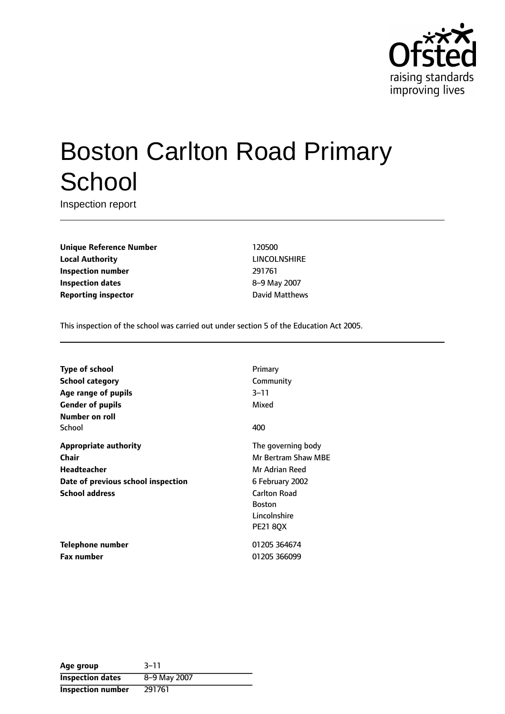

# Boston Carlton Road Primary **School**

Inspection report

**Unique Reference Number** 120500 **Local Authority** LINCOLNSHIRE **Inspection number** 291761 **Inspection dates** 8-9 May 2007 **Reporting inspector CONFIDENTIFY REPORTING MATTER** 

This inspection of the school was carried out under section 5 of the Education Act 2005.

| <b>Type of school</b>              | Primary             |
|------------------------------------|---------------------|
| School category                    | Community           |
| Age range of pupils                | $3 - 11$            |
| <b>Gender of pupils</b>            | Mixed               |
| Number on roll                     |                     |
| School                             | 400                 |
| <b>Appropriate authority</b>       | The governing body  |
| Chair                              | Mr Bertram Shaw MBF |
| Headteacher                        | Mr Adrian Reed      |
| Date of previous school inspection | 6 February 2002     |
| <b>School address</b>              | <b>Carlton Road</b> |
|                                    | <b>Boston</b>       |
|                                    | Lincolnshire        |
|                                    | <b>PE21 80X</b>     |
| Telephone number                   | 01205 364674        |
| <b>Fax number</b>                  | 01205 366099        |
|                                    |                     |

| Age group                | $3 - 11$     |
|--------------------------|--------------|
| <b>Inspection dates</b>  | 8-9 May 2007 |
| <b>Inspection number</b> | 291761       |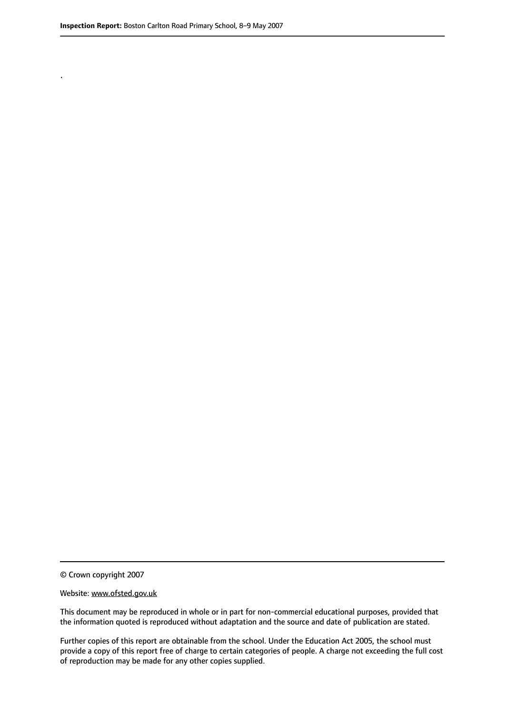.

© Crown copyright 2007

#### Website: www.ofsted.gov.uk

This document may be reproduced in whole or in part for non-commercial educational purposes, provided that the information quoted is reproduced without adaptation and the source and date of publication are stated.

Further copies of this report are obtainable from the school. Under the Education Act 2005, the school must provide a copy of this report free of charge to certain categories of people. A charge not exceeding the full cost of reproduction may be made for any other copies supplied.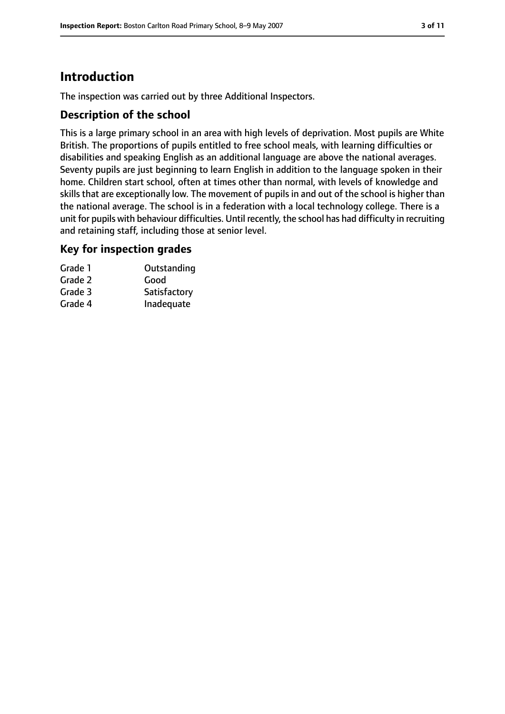# **Introduction**

The inspection was carried out by three Additional Inspectors.

#### **Description of the school**

This is a large primary school in an area with high levels of deprivation. Most pupils are White British. The proportions of pupils entitled to free school meals, with learning difficulties or disabilities and speaking English as an additional language are above the national averages. Seventy pupils are just beginning to learn English in addition to the language spoken in their home. Children start school, often at times other than normal, with levels of knowledge and skills that are exceptionally low. The movement of pupils in and out of the school is higher than the national average. The school is in a federation with a local technology college. There is a unit for pupils with behaviour difficulties. Until recently, the school has had difficulty in recruiting and retaining staff, including those at senior level.

#### **Key for inspection grades**

| Grade 1 | Outstanding  |
|---------|--------------|
| Grade 2 | Good         |
| Grade 3 | Satisfactory |
| Grade 4 | Inadequate   |
|         |              |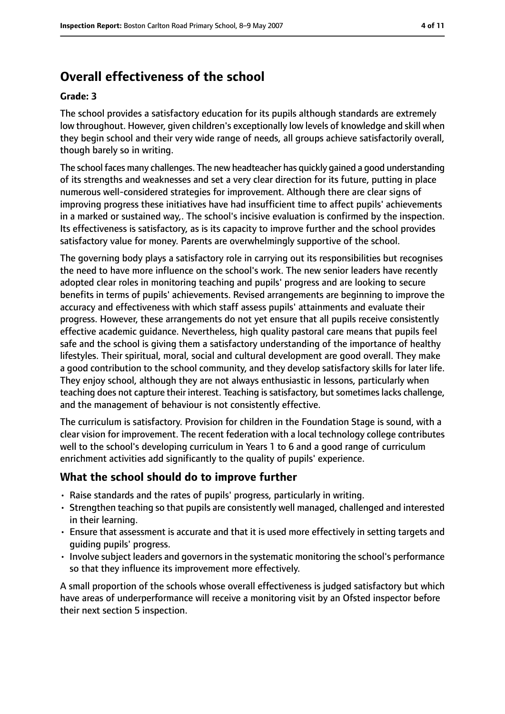# **Overall effectiveness of the school**

#### **Grade: 3**

The school provides a satisfactory education for its pupils although standards are extremely low throughout. However, given children's exceptionally low levels of knowledge and skill when they begin school and their very wide range of needs, all groups achieve satisfactorily overall, though barely so in writing.

The school faces many challenges. The new headteacher has quickly gained a good understanding of its strengths and weaknesses and set a very clear direction for its future, putting in place numerous well-considered strategies for improvement. Although there are clear signs of improving progress these initiatives have had insufficient time to affect pupils' achievements in a marked or sustained way,. The school's incisive evaluation is confirmed by the inspection. Its effectiveness is satisfactory, as is its capacity to improve further and the school provides satisfactory value for money. Parents are overwhelmingly supportive of the school.

The governing body plays a satisfactory role in carrying out its responsibilities but recognises the need to have more influence on the school's work. The new senior leaders have recently adopted clear roles in monitoring teaching and pupils' progress and are looking to secure benefits in terms of pupils' achievements. Revised arrangements are beginning to improve the accuracy and effectiveness with which staff assess pupils' attainments and evaluate their progress. However, these arrangements do not yet ensure that all pupils receive consistently effective academic guidance. Nevertheless, high quality pastoral care means that pupils feel safe and the school is giving them a satisfactory understanding of the importance of healthy lifestyles. Their spiritual, moral, social and cultural development are good overall. They make a good contribution to the school community, and they develop satisfactory skills for later life. They enjoy school, although they are not always enthusiastic in lessons, particularly when teaching does not capture their interest. Teaching is satisfactory, but sometimes lacks challenge, and the management of behaviour is not consistently effective.

The curriculum is satisfactory. Provision for children in the Foundation Stage is sound, with a clear vision for improvement. The recent federation with a local technology college contributes well to the school's developing curriculum in Years 1 to 6 and a good range of curriculum enrichment activities add significantly to the quality of pupils' experience.

#### **What the school should do to improve further**

- Raise standards and the rates of pupils' progress, particularly in writing.
- Strengthen teaching so that pupils are consistently well managed, challenged and interested in their learning.
- Ensure that assessment is accurate and that it is used more effectively in setting targets and guiding pupils' progress.
- Involve subject leaders and governors in the systematic monitoring the school's performance so that they influence its improvement more effectively.

A small proportion of the schools whose overall effectiveness is judged satisfactory but which have areas of underperformance will receive a monitoring visit by an Ofsted inspector before their next section 5 inspection.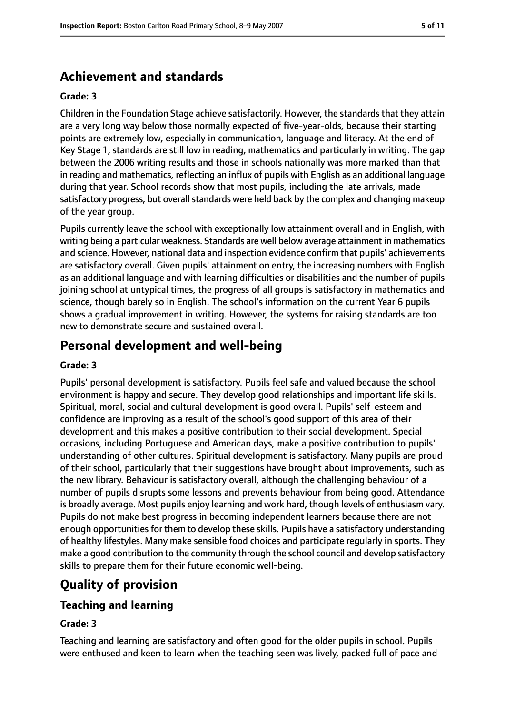# **Achievement and standards**

#### **Grade: 3**

Children in the Foundation Stage achieve satisfactorily. However, the standards that they attain are a very long way below those normally expected of five-year-olds, because their starting points are extremely low, especially in communication, language and literacy. At the end of Key Stage 1, standards are still low in reading, mathematics and particularly in writing. The gap between the 2006 writing results and those in schools nationally was more marked than that in reading and mathematics, reflecting an influx of pupils with English as an additional language during that year. School records show that most pupils, including the late arrivals, made satisfactory progress, but overall standards were held back by the complex and changing makeup of the year group.

Pupils currently leave the school with exceptionally low attainment overall and in English, with writing being a particular weakness. Standards are well below average attainment in mathematics and science. However, national data and inspection evidence confirm that pupils' achievements are satisfactory overall. Given pupils' attainment on entry, the increasing numbers with English as an additional language and with learning difficulties or disabilities and the number of pupils joining school at untypical times, the progress of all groups is satisfactory in mathematics and science, though barely so in English. The school's information on the current Year 6 pupils shows a gradual improvement in writing. However, the systems for raising standards are too new to demonstrate secure and sustained overall.

# **Personal development and well-being**

#### **Grade: 3**

Pupils' personal development is satisfactory. Pupils feel safe and valued because the school environment is happy and secure. They develop good relationships and important life skills. Spiritual, moral, social and cultural development is good overall. Pupils' self-esteem and confidence are improving as a result of the school's good support of this area of their development and this makes a positive contribution to their social development. Special occasions, including Portuguese and American days, make a positive contribution to pupils' understanding of other cultures. Spiritual development is satisfactory. Many pupils are proud of their school, particularly that their suggestions have brought about improvements, such as the new library. Behaviour is satisfactory overall, although the challenging behaviour of a number of pupils disrupts some lessons and prevents behaviour from being good. Attendance is broadly average. Most pupils enjoy learning and work hard, though levels of enthusiasm vary. Pupils do not make best progress in becoming independent learners because there are not enough opportunities for them to develop these skills. Pupils have a satisfactory understanding of healthy lifestyles. Many make sensible food choices and participate regularly in sports. They make a good contribution to the community through the school council and develop satisfactory skills to prepare them for their future economic well-being.

# **Quality of provision**

#### **Teaching and learning**

#### **Grade: 3**

Teaching and learning are satisfactory and often good for the older pupils in school. Pupils were enthused and keen to learn when the teaching seen was lively, packed full of pace and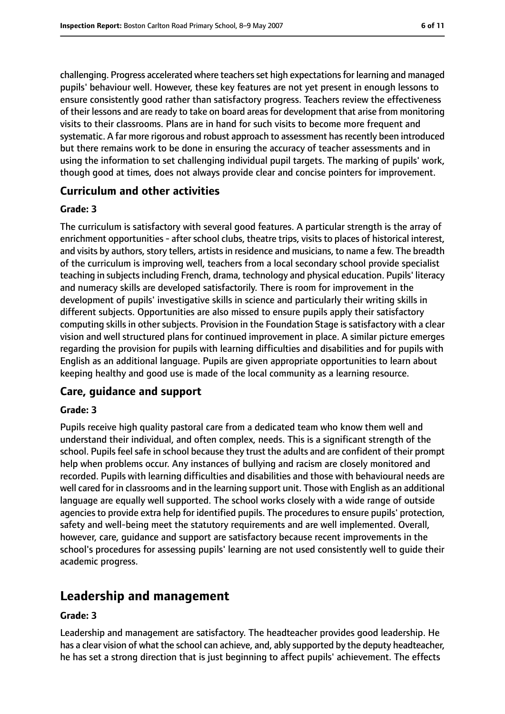challenging. Progress accelerated where teachers set high expectations for learning and managed pupils' behaviour well. However, these key features are not yet present in enough lessons to ensure consistently good rather than satisfactory progress. Teachers review the effectiveness of their lessons and are ready to take on board areasfor development that arise from monitoring visits to their classrooms. Plans are in hand for such visits to become more frequent and systematic. A far more rigorous and robust approach to assessment has recently been introduced but there remains work to be done in ensuring the accuracy of teacher assessments and in using the information to set challenging individual pupil targets. The marking of pupils' work, though good at times, does not always provide clear and concise pointers for improvement.

#### **Curriculum and other activities**

#### **Grade: 3**

The curriculum is satisfactory with several good features. A particular strength is the array of enrichment opportunities - after school clubs, theatre trips, visits to places of historical interest, and visits by authors, story tellers, artists in residence and musicians, to name a few. The breadth of the curriculum is improving well, teachers from a local secondary school provide specialist teaching in subjects including French, drama, technology and physical education. Pupils' literacy and numeracy skills are developed satisfactorily. There is room for improvement in the development of pupils' investigative skills in science and particularly their writing skills in different subjects. Opportunities are also missed to ensure pupils apply their satisfactory computing skills in other subjects. Provision in the Foundation Stage is satisfactory with a clear vision and well structured plans for continued improvement in place. A similar picture emerges regarding the provision for pupils with learning difficulties and disabilities and for pupils with English as an additional language. Pupils are given appropriate opportunities to learn about keeping healthy and good use is made of the local community as a learning resource.

#### **Care, guidance and support**

#### **Grade: 3**

Pupils receive high quality pastoral care from a dedicated team who know them well and understand their individual, and often complex, needs. This is a significant strength of the school. Pupils feel safe in school because they trust the adults and are confident of their prompt help when problems occur. Any instances of bullying and racism are closely monitored and recorded. Pupils with learning difficulties and disabilities and those with behavioural needs are well cared for in classrooms and in the learning support unit. Those with English as an additional language are equally well supported. The school works closely with a wide range of outside agencies to provide extra help for identified pupils. The procedures to ensure pupils' protection, safety and well-being meet the statutory requirements and are well implemented. Overall, however, care, guidance and support are satisfactory because recent improvements in the school's procedures for assessing pupils' learning are not used consistently well to guide their academic progress.

# **Leadership and management**

#### **Grade: 3**

Leadership and management are satisfactory. The headteacher provides good leadership. He has a clear vision of what the school can achieve, and, ably supported by the deputy headteacher, he has set a strong direction that is just beginning to affect pupils' achievement. The effects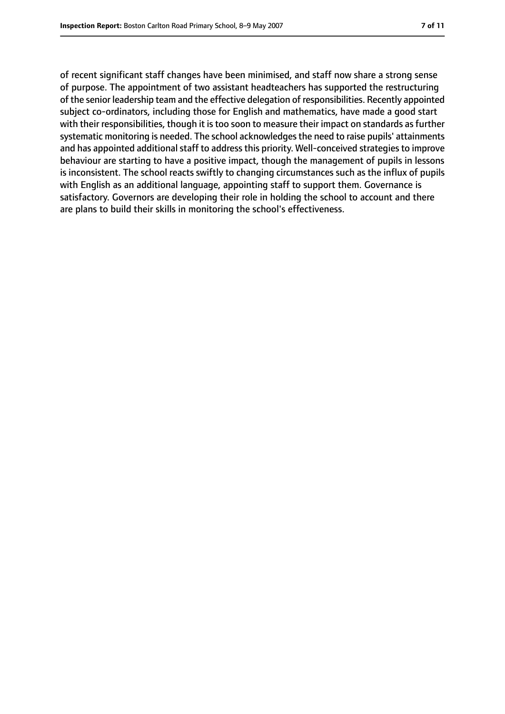of recent significant staff changes have been minimised, and staff now share a strong sense of purpose. The appointment of two assistant headteachers has supported the restructuring of the senior leadership team and the effective delegation of responsibilities. Recently appointed subject co-ordinators, including those for English and mathematics, have made a good start with their responsibilities, though it is too soon to measure their impact on standards as further systematic monitoring is needed. The school acknowledges the need to raise pupils' attainments and has appointed additional staff to address this priority. Well-conceived strategies to improve behaviour are starting to have a positive impact, though the management of pupils in lessons is inconsistent. The school reacts swiftly to changing circumstances such as the influx of pupils with English as an additional language, appointing staff to support them. Governance is satisfactory. Governors are developing their role in holding the school to account and there are plans to build their skills in monitoring the school's effectiveness.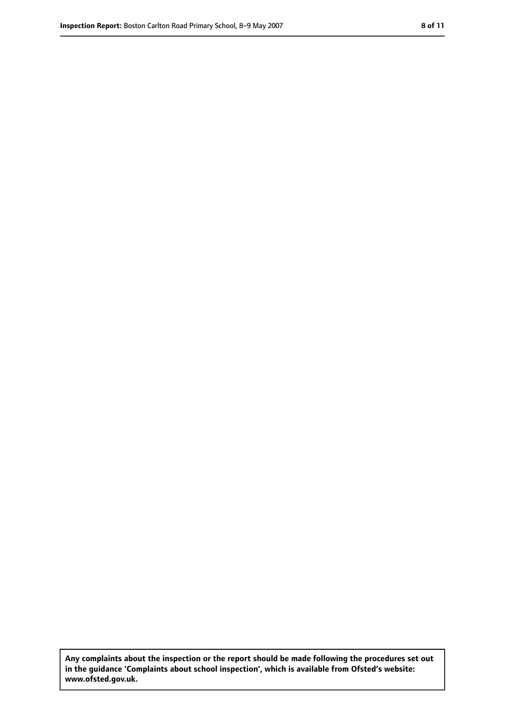**Any complaints about the inspection or the report should be made following the procedures set out in the guidance 'Complaints about school inspection', which is available from Ofsted's website: www.ofsted.gov.uk.**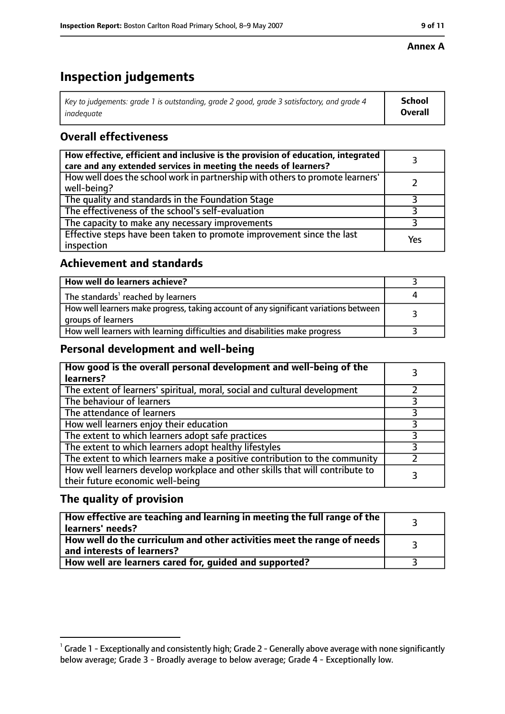#### **Annex A**

# **Inspection judgements**

| Key to judgements: grade 1 is outstanding, grade 2 good, grade 3 satisfactory, and grade 4 | <b>School</b>  |
|--------------------------------------------------------------------------------------------|----------------|
| inadequate                                                                                 | <b>Overall</b> |

### **Overall effectiveness**

| How effective, efficient and inclusive is the provision of education, integrated<br>care and any extended services in meeting the needs of learners? |     |
|------------------------------------------------------------------------------------------------------------------------------------------------------|-----|
| How well does the school work in partnership with others to promote learners'<br>well-being?                                                         |     |
| The quality and standards in the Foundation Stage                                                                                                    |     |
| The effectiveness of the school's self-evaluation                                                                                                    |     |
| The capacity to make any necessary improvements                                                                                                      |     |
| Effective steps have been taken to promote improvement since the last<br>inspection                                                                  | Yes |

#### **Achievement and standards**

| How well do learners achieve?                                                                               |  |
|-------------------------------------------------------------------------------------------------------------|--|
| The standards <sup>1</sup> reached by learners                                                              |  |
| How well learners make progress, taking account of any significant variations between<br>groups of learners |  |
| How well learners with learning difficulties and disabilities make progress                                 |  |

#### **Personal development and well-being**

| How good is the overall personal development and well-being of the<br>learners?                                  |  |
|------------------------------------------------------------------------------------------------------------------|--|
| The extent of learners' spiritual, moral, social and cultural development                                        |  |
| The behaviour of learners                                                                                        |  |
| The attendance of learners                                                                                       |  |
| How well learners enjoy their education                                                                          |  |
| The extent to which learners adopt safe practices                                                                |  |
| The extent to which learners adopt healthy lifestyles                                                            |  |
| The extent to which learners make a positive contribution to the community                                       |  |
| How well learners develop workplace and other skills that will contribute to<br>their future economic well-being |  |

### **The quality of provision**

| How effective are teaching and learning in meeting the full range of the<br>learners' needs?          |  |
|-------------------------------------------------------------------------------------------------------|--|
| How well do the curriculum and other activities meet the range of needs<br>and interests of learners? |  |
| How well are learners cared for, guided and supported?                                                |  |

 $^1$  Grade 1 - Exceptionally and consistently high; Grade 2 - Generally above average with none significantly below average; Grade 3 - Broadly average to below average; Grade 4 - Exceptionally low.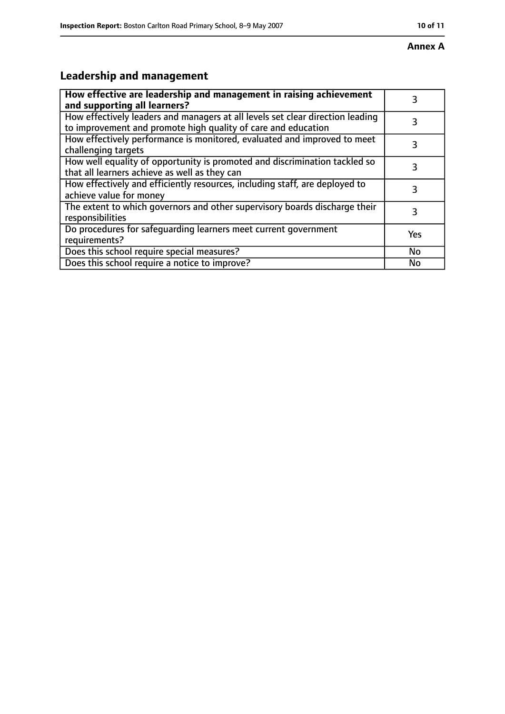#### **Annex A**

# **Leadership and management**

| How effective are leadership and management in raising achievement<br>and supporting all learners?                                              | 3   |
|-------------------------------------------------------------------------------------------------------------------------------------------------|-----|
| How effectively leaders and managers at all levels set clear direction leading<br>to improvement and promote high quality of care and education |     |
| How effectively performance is monitored, evaluated and improved to meet<br>challenging targets                                                 | 3   |
| How well equality of opportunity is promoted and discrimination tackled so<br>that all learners achieve as well as they can                     | 3   |
| How effectively and efficiently resources, including staff, are deployed to<br>achieve value for money                                          | 3   |
| The extent to which governors and other supervisory boards discharge their<br>responsibilities                                                  | 3   |
| Do procedures for safequarding learners meet current government<br>requirements?                                                                | Yes |
| Does this school require special measures?                                                                                                      | No  |
| Does this school require a notice to improve?                                                                                                   | Nο  |